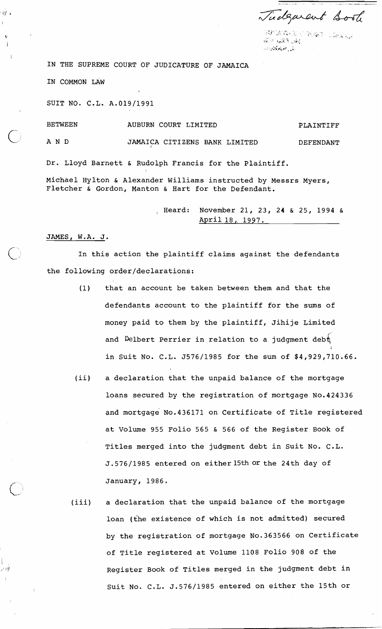Tudgarent Book

SOF GREAT القارح المغيضر فلنطوط للأ

IN THE SUPREME COURT OF JUDICATURE OF JAMAICA

IN COMMON LAW

ाग्नी द

 $\epsilon$ 

計則

SUIT NO. C.L, A.019/1991

BETWEEN AND AUBURN COURT LIMITED PLAINTIFF JAMAICA CITIZENS BANK LIMITED DEFENDANT Dr. Lloyd Barnett & Rudolph Francis for the Plaintiff. Michael Hylton & Alexander Williams instructed by Messrs Myers, Fletcher & Gordon, Manton & Hart for the Defendant.

> , Heard: November 21, 23, 24 & 25, 1994 & April 18, 1997.

## JAMES. W.A. J.

In this action the plaintiff claims against the defendants the following order/declarations:

- (1) that an account be taken between them and that the defendants account to the plaintiff for the sums of money paid to them by the'plaintiff, Jihije Limited and Delbert Perrier in relation to a judgment debt I in Suit No. C.L. J576/1985 for the sum of \$4,929,710.66.
- (ii) a declaration that the unpaid balance of the mortgage loans secured by the registration of mortgage No.424336 and mortgage No.436171 on Certificate of Title registered at Volume 955 Folio 565 & 566 of the Register Book of Titles merged into the judgment debt in Suit No. C.L. J.576/1985 entered on either15th or the 24th day of January, 1986.
- (iii) a declaration that the unpaid balance of the mortgage loan (the existence of which is not admitted) secured by the registration of mortgage No.363566 on Certificate of Title registered at Volume 1108 Folio 908 of the Register Book of Titles merged in the judgment debt in Suit No. C.L. J.576/1985 entered on either the 15th or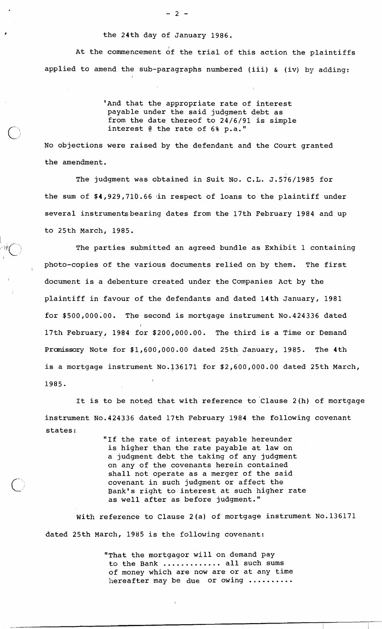## the 24th day of January 1986.

At the commencement of the trial of this action the plaintiffs applied to amend the sub-paragraphs numbered (iii) & (iv) **by** adding:

> 'And that the appropriate rate of interest payable under the said judgment debt as from the date thereof to 24/6/91 is simple interest @ the rate of 6% p.a."

No objections were raised by the defendant and the Court granted the amendment.

The judgment was obtained in Suit No. C.L. J.576/1985 for the sum of \$4,929,710.66 in respect of loans to the plaintiff under several instrumentsbearing dates from the 17th February 1984 and up to 25th March, 1985.

I

The parties submitted an agreed bundle as Exhibit 1 containing photo-copies of the various documents relied on by them. The first document is a debenture created under the Companies Act by the plaintiff in favour of the defendants and dated 14th January, 1981 for \$500,000.00. The second is mortgage instrument No.424336 dated I 17th February, 1984 for \$200,000.00. The third is a Time or Demand Promissory Note for \$1,600,000.00 dated 25th January, 1985. The 4th is a mortgage instrument No.136171 for \$2,600,000.00 dated 25th March, 1985.

It is to be noted that with reference to Clause 2(h) of mortgage instrument No.424336 dated 17th February 1984 the following covenant states:

> "If the rate of interest payable hereunder is higher than the rate payable at law on a judgment debt the taking of any judgment on any of the covenants herein contained shall not operate as a merger of the said covenant in such judgment or affect the Bank's right to interest at such higher rate as well after as before judgment."

With reference to Clause 2(a) of mortgage instrument No.136171 dated 25th March, 1985 is the following covenant:

> "That the mortgagor will on demand pay to the Bank ............. all such sums of money which are now are or at any time hereafter may be due or owing ..........

 $-2 -$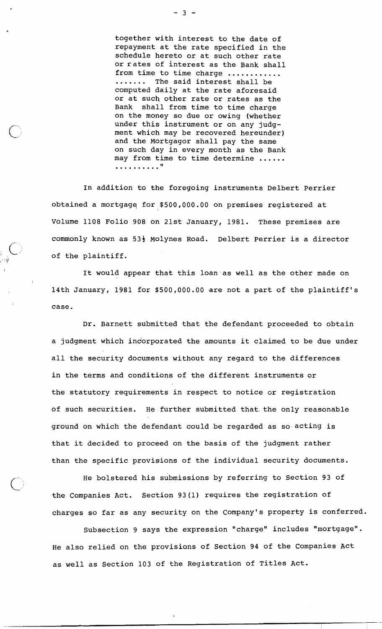together with interest to the date of repayment at the rate specified in the schedule hereto or at such other rate or rates of interest as the Bank shall from time to time charge ...........<br>....... The said interest shall be computed daily at the rate aforesaid or at such other rate or rates as the Bank shall from time to time charge on the money so due or owing (whether under this instrument or on any judgment which may be recovered hereunder) and the Mortgagor shall pay the same on such day in every month as the Bank may from time to time determine ...... **I1** ..........

In addition to the foregoing instruments Delbert Perrier obtained a mortgagq for \$500,000.00 on premises registered at Volume 1108 Folio 908 on 21st January, 1981. These premises are commonly known as 53<sup>}</sup> Molynes Road. Delbert Perrier is a director of the plaintiff.

 $\overline{\bigcap}$ 

It would appear that this loan as well as the other made on 14th January, 1981 for \$500,000.00 are not a part of the plaintiff's case.

Dr. Barnett submitted that the defendant proceeded to obtain a judgment which indorporated the amounts it claimed to be due under all the security documents without any regard to the differences in the terms and conditions of the different instruments or the statutory requirements in respect to notice or registration of such securities. He further submitted that, the only reasonable ground on which the defendant could be regarded as so-acting is that it decided to proceed on the basis of the judgment rather than the specific provisions of the individual security documents.

He bolstered his submissions by referring to Section 93 of the Companies Act. Section 93(1) requires the registration of charges so far as any security on the Company's property is conferred.

Subsection 9 says the expression "charge" includes "mortgage". He also relied on the provisions of Section 94 of the Companies Act as well as Section 103 of the Registration of Titles Act.

 $-3 -$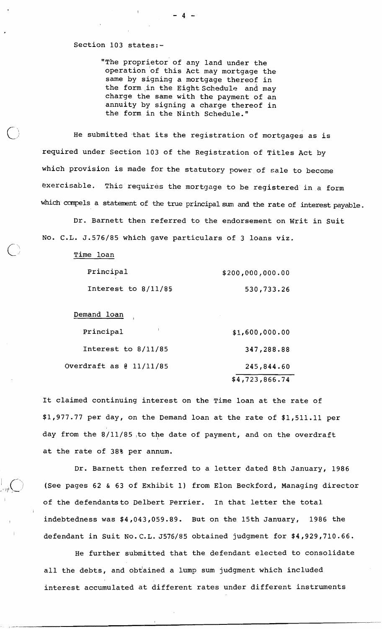## Section 103 states:-

"The proprietor of any land under the operation of this Act may mortgage the same by signing a mortgage thereof in the form ,in the Eight Schedule and may charge the same with the payment of an annuity by signing a charge thereof in the form in the Ninth Schedule."

He submitted 'that its the registration of mortgages as is required under Section 103 of the Registration of Titles Act by which provision is made for the statutory power of sale to become exercisable. This requires the mortgage to be registered in a form which compels a statement of the true principal sum and the rate of interest payable.

Dr. Barnett then referred to the endorsement on Writ in Suit No. C.L. J.576/85 which gave particulars of 3 loans viz.

| Time loan             |                  |
|-----------------------|------------------|
| Principal             | \$200,000,000.00 |
| Interest to $8/11/85$ | 530,733.26       |

Demand loan

| Principal               | \$1,600,000.00 |
|-------------------------|----------------|
| Interest to $8/11/85$   | 347,288.88     |
| Overdraft as @ 11/11/85 | 245,844.60     |
|                         | \$4,723,866.74 |

It claimed continuing interest on the Time loan at the rate of \$1,977.77 per day, on the Demand loan at the rate of \$1,511.11 per day from the 8/11/85 ,to the date of payment, and on the overdraft at the rate of 38% per annum.

Dr. Barnett then referred to a letter dated 8th January, 1986 (See pages 62 & 63 of Exhibit 1) from Elon Beckford, Managing director of the defendantsto Delbert Perrier. In that letter the total indebtedness was \$4,043,059.89. But on the 15th January, 1986 the <sup>1</sup>defendant in Suit N0.C.L. J576/85 obtained judgment for \$4,929,710.66.

He further submitted that the defendant elected to consolidate all the debts, and obtained a lump sum judgment which included interest accumulated at different rates under different instruments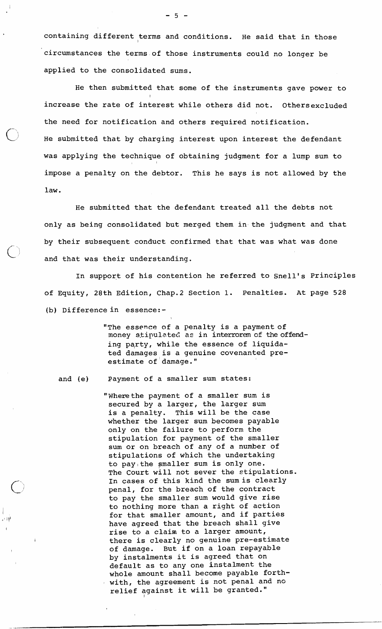containing different terms and conditions. He said that in those circumstances the terms of those instruments could no longer be applied to the consolidated sums.

He then submitted that some of the instruments gave power to increase the rate of interest while others did not. Othersexcluded the need for notification and others required notification. He submitted that by charging interest upon interest the defendant was applying the technique of obtaining judgment for a lump sum to impose a penalty on the debtor. This he says is not allowed by the law.

He submitted that the defendant treated all the debts not only as being consolidated but merged them in the judgment and that by their subsequent conduct confirmed that that was what was done and that was their understanding.

In support of his contention he referred to Snell's Principles of Equity, 28th Edition, Chap.2 Section 1. Penalties. At page 528 (b) Difference in essence: -

> "The essence of a penalty is a payment of money stipulated as in interrorem of the offending pqrty, while the essence of liquidated damages is a genuine covenanted preestimate of damage."

and (e) Payment of a smaller sum states:

异国

"'Where the payment of a smaller sum is secured by a larger, the larger sum is a penalty. This will be the case whether the larger sum becomes payable only on the failure to perform the stipulation for payment of the smaller sum or on breach of any of a number of stipulations of which the undertaking to pay the smaller sum is only one. The Court will not sever the stipulations. In cases of this kind the sumis clearly penal, for the breach of the contract to pay the smaller sum would give rise to nothing more than a right of action for that smaller amount, and if parties have agreed that the breach shall give rise to a claim to a larger amount, there is clearly no genuine pre-estimate of damage. But if on a loan repayable by instalments it is agreed that on default as to any one instalment the whole amount shall become payable forth-' with, the agreement is not penal and no relief against it will be granted."

 $-5 -$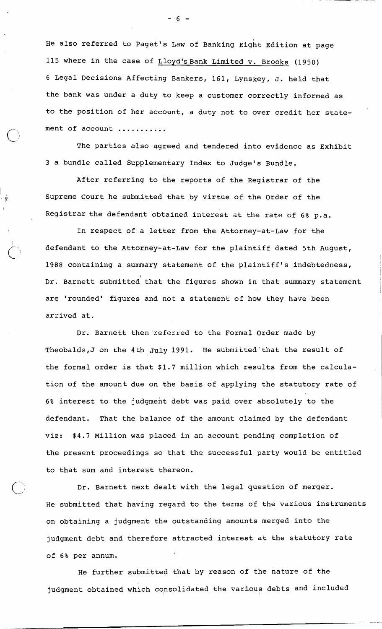He also referred to paget's Law of Banking Eight Edition at page 115 where in the case of Lloyd's Bank Limited v. Brooks (1950) 6 Legal Decisions Affecting Bankers, 161, Lynskey, J. held that the bank was under a duty to keep a customer correctly informed as to the position of her account, a duty not to over credit her statement of account ...........

The parties also agreed and tendered into evidence as Exhibit **3** a bundle called Scpplementary Index to Judge's Bundle.

After referring to the reports of the Registrar of the Supreme Court he submitted that by virtue of the Order of the Registrar the defendant obtained interest at the rate of 6% p.a.

In respect of a letter from the Attorney-at-Law for the defendant to the Attorney-at-Law for the plaintiff dated 5th August, 1988 containing a summary statement of the plaintiff's indebtedness, Dr. Barnett submitted' that the figures shown in that summary statement are 'rounded' figures and not a statement of how they have been arrived at.

Dr. Barnett then'referred to the Formal Order made by Theobalds, J on the 4th July 1991. He submitted that the result of the formal order is that \$1.7 million which results from the calculation of the amount due on the basis of applying the statutory rate of 6% interest to the judgment debt was paid over absolutely to the defendant. That the balance of the amount claimed by the defendant viz: \$4.7 Million was placed in an account pending completion of the present proceedings so that the successful party would be entitled to that sum and interest thereon.

Dr. Barnett next dealt with the legal question of merger. He submitted that having regard to the terms of the various instruments on obtaining a judgment the outstanding amounts merged into the judgment debt and therefore attracted interest at the statutory rate of 6% per annum.

He further submitted that by reason of the nature of the judgment obtained which consolidated the various debts and included

 $6 -$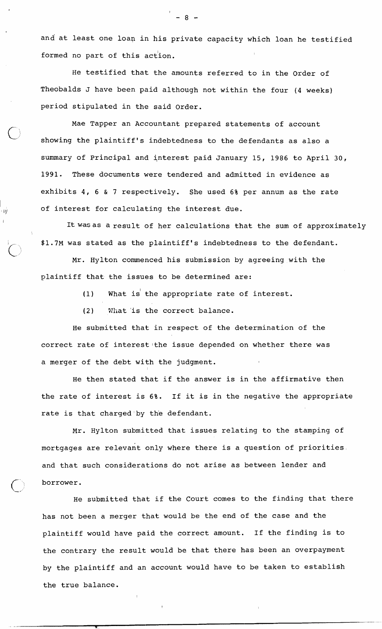and at least one loap in his private capacity which loan he testified formed no part of this action.

He testified that the amounts referred to in the Order of Theobalds J have been paid although not within the four (4 weeks) period stipulated in the said Order.

Mae Tapper an Accountant prepared statements of account showing the plaintiff's indebtedness to the defendants as also a summary of Principal and interest paid January 15, 1986 to April 30, 1991. These documents were tendered and admitted in evidence as exhibits 4, 6 & 7 respectively. She used 6% per annum as the rate  $1/1$  of interest for calculating the interest due.

> It was as a result of her calculations that the sum of approximately \$1.7M was stated as the plaintiff's indebtedness to the defendant.

Mr. Hylton commenced his submission by agreeing with the plaintiff that the issues to be determined are:

(1) What is the appropriate rate of interest.

(2) Wliat is the correct balance.

I

He submitted that in respect of the determination of the correct rate of interest the issue depended on whether there was a merger of the debt with the judgment.

He then stated that if the answer is in the affirmative then the rate of interest is 6%. If it is in the negative the appropriate rate is that charged by the defendant.

Mr. Hylton submitted that issues relating to the stamping of mortgages are relevant only where there is a question of priorities and that such considerations do not arise as between lender and borrower.

He submitted that if the Court comes to the finding that there has not been a merger that would be the end of the case and the plaintiff would have paid the correct amount. If the finding is to the contrary the result would be that there has been an overpayment by the plaintiff and an account would have to be taken to establish the true balance.

 $-8-$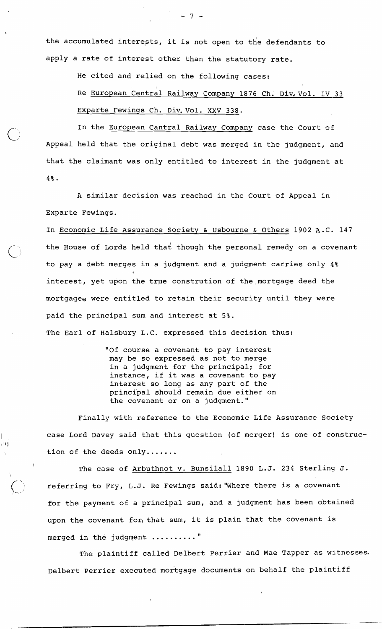the accumulated interests, it is not open to the defendants to apply a rate of interest other than the statutory rate.

He cited and relied on the following cases:

Re <u>European Central Railway</u> Company 1876 Ch. Div.Vol. IV 33 Exparte Fewings Ch. Div. Vol. XXV 338.

In the European Cantral Railway Company case the Court of Appeal held that the original debt was merged in the judgment, and that the claimant was only entitled to interest in the judgment at 4%.

A similar decision was reached in the Court of Appeal in Exparte Fewings.

In Economic Life Assurance Society & Usbourne & Others 1902 A.C. 147. the House of Lords held that though the personal remedy on a covenant to pay a debt merges in a judgment and a judgment carries only 4% interest, yet upon the true constrution of the mortgage deed the mortgagee were entitled to retain their security until they were paid the principal sum and interest at 5%. The Earl of Halsbury L.C. expressed this decision thus:

> "Of course a covenant to pay interest may be so expressed as not to merge in a judgment for the principal; for instance, if it was a covenant to pay interest so long as any part of the princibal should remain due either on the covenant or on a judgment."

 $\Box$ i V

I

Finally with reference to the Economic Life Assurance Society case Lord Davey said that this question (of merger) is one of construc-

tion of the deeds only.......<br>The case of Arbuthnot v. Bunsilall 1890 L.J. 234 Sterling J. referring to Fry, L.J. Re Fewings said: "Where there is a covenant for the payment of a principal sum, and a judgment has been obtained upon the covenant for, that sum, it is plain that the covenant is merged in the judgment .........."

The plaintiff called Delbert Perrier and Mae Tapper as witnesses. Delbert Perrier executed mortgage documents on behalf the plaintiff

 $-7 -$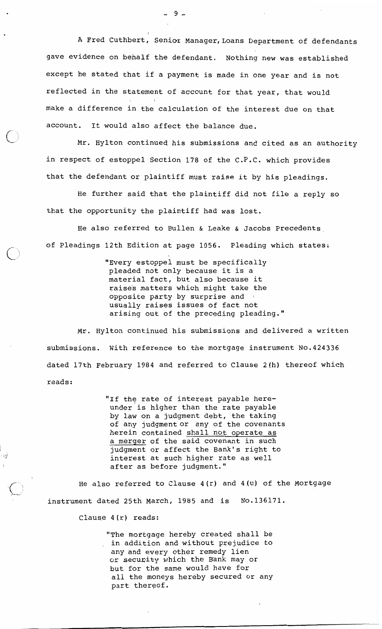A Fred Cuthbert, Senior Manager,Loans Department of defendants gave evidence on behalf the defendant. Nothing new was established except he stated that if a payment is made in one year and is not reflected in the statement of account for that year, that would make a difference in the calculation of the interest due on that account. It would also affect the balance due.

Mr. Hylton continued his submissions and cited as an authority in respect of estoppel Section 178 of the C.P.C. which provides that the defendant or plaintiff must raise it by his pleadings.

He further said that the plaintiff did not file a reply so that the opportunity the plaintiff had was lost.

He also referred to Bullen & Leake.& Jacobs Precedents, of Pleadings 12th Edition at page 1056. Pleading which states:

> "Every estoppel must be specifically pleaded not only because it is a material fact, but also because it raise's matters which might take the opposite pdrty by surprise and usually raises issues of fact not arising out of the preceding pleading."

Mr. Hylton continued his submissions and delivered a written submissions. With reference to the mortgage instrument No.424336 dated 17th February 1984 and referred to Clause 2(h) thereof which reads:

> "If the rate of interest payable hereunder is higher than the rate payable by law on a judgment debt, the taking of any judgment or any of the covenants herein contained shall not operate as a merger of the said covenant in such judgment or affect the Bank's right to interest at such higher rate as well after as before judgment."

He also referred to Clause 4 (r) and 4 (u) of the Mortgage instrument dated 25th March, 1985 and is No.136171.

Clause 4 (r) reads:

 $f^+$ 

កម្

"The mortgage hereby created shall be in addition and without prejudice to any and every other remedy lien cr security which the Bank may or but for the same would have for all the moneys hereby secured or any part thereof.

 $-9-$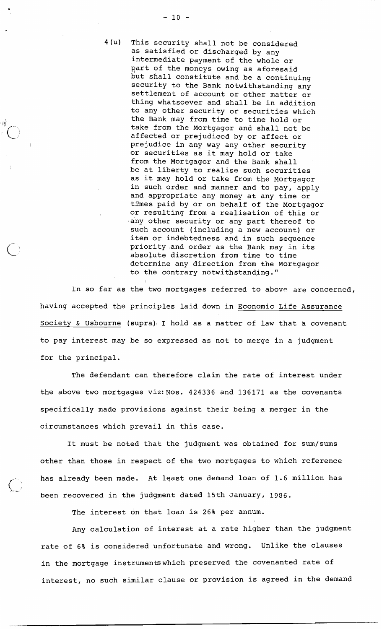4(u) This security shall not be considered as satisfied or discharged by any intermediate payment of the whole or part of the moneys owing as aforesaid but shall constitute and be a continuing security to the Bank notwithstanding any settlement of account or other matter or thing whatsoever and shall be in addition to any other security or securities which the Bank may from time to time hold or take from the Mortgagor and shall not be affected or prejudiced by or affect or prejudice in any way any other security or securities as it may hold or take from the Mortgagor and the Bank shall be at liberty to realise such securities as it may hold or take from the Mortgagor in such order and manner and to pay, apply and appropriate any money at any time or times paid by or on behalf of the Mortgagor or resulting from a realisation of this or 'any other security or any part thereof to such account (including a new account) or item or indebtedness and in such sequence priorityand order as the Bank may in its absoJute discretion from time to time determine any direction from the Mortgagor to the contrary notwithstanding."

In so far as the two mortgages referred to above are concerned, having accepted the principles laid down in Economic Life Assurance Society & Usbourne (supra), I hold as a matter of law that a covenant to pay interest may be so expressed as not to merge in a judgment for the principal.

The defendant can therefore claim the rate of interest under the above two mortgages viz: Nos. 424336 and 136171 as the covenants specifically made provisions against their being a merger in the circumstances which prevail in this case.

It must be noted that the judgment was obtained for sum/sums other than those in respect of the two mortgages to which reference has already been made. At least one demand loan of 1.6 million has been recovered in the judgment dated 15th January, 1386.

The interest on that loan is 26% per annum.

Any calculation of interest at a rate higher than the judgment rate of 6% is considered unfortunate and wrong. Unlike the clauses in the mortgage instrumentswhich preserved the covenanted rate of interest, no such similar clause or provision is agreed in the demand

⊢iý